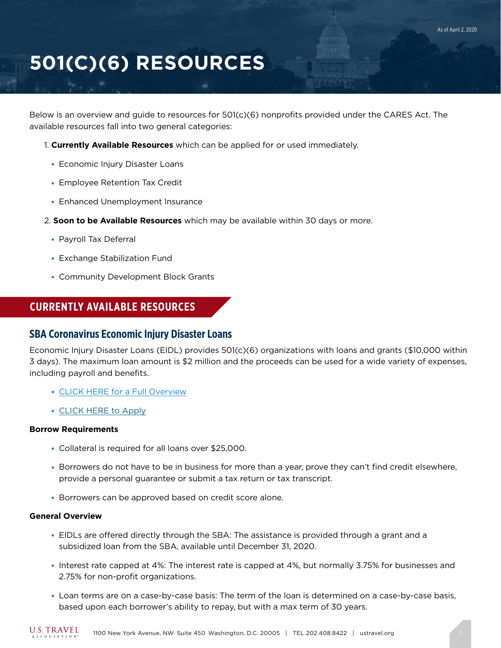# **501(C)(6) RESOURCES**

Below is an overview and guide to resources for 501(c)(6) nonprofits provided under the CARES Act. The available resources fall into two general categories:

- 1. **Currently Available Resources** which can be applied for or used immediately.
	- Economic Injury Disaster Loans
	- Employee Retention Tax Credit
	- Enhanced Unemployment Insurance
- 2. **Soon to be Available Resources** which may be available within 30 days or more.
	- Payroll Tax Deferral
	- Exchange Stabilization Fund
	- Community Development Block Grants

## **CURRENTLY AVAILABLE RESOURCES**

## **SBA Coronavirus Economic Injury Disaster Loans**

Economic Injury Disaster Loans (EIDL) provides 501(c)(6) organizations with loans and grants (\$10,000 within 3 days). The maximum loan amount is \$2 million and the proceeds can be used for a wide variety of expenses, including payroll and benefits.

- [CLICK HERE for a Full Overview](https://www.sba.gov/page/coronavirus-covid-19-small-business-guidance-loan-resources#section-header-2)
- [CLICK HERE to Apply](https://covid19relief.sba.gov/#/)

#### **Borrow Requirements**

- Collateral is required for all loans over \$25,000.
- Borrowers do not have to be in business for more than a year, prove they can't find credit elsewhere, provide a personal guarantee or submit a tax return or tax transcript.
- Borrowers can be approved based on credit score alone.

#### **General Overview**

- EIDLs are offered directly through the SBA: The assistance is provided through a grant and a subsidized loan from the SBA, available until December 31, 2020.
- Interest rate capped at 4%: The interest rate is capped at 4%, but normally 3.75% for businesses and 2.75% for non-profit organizations.
- Loan terms are on a case-by-case basis: The term of the loan is determined on a case-by-case basis, based upon each borrower's ability to repay, but with a max term of 30 years.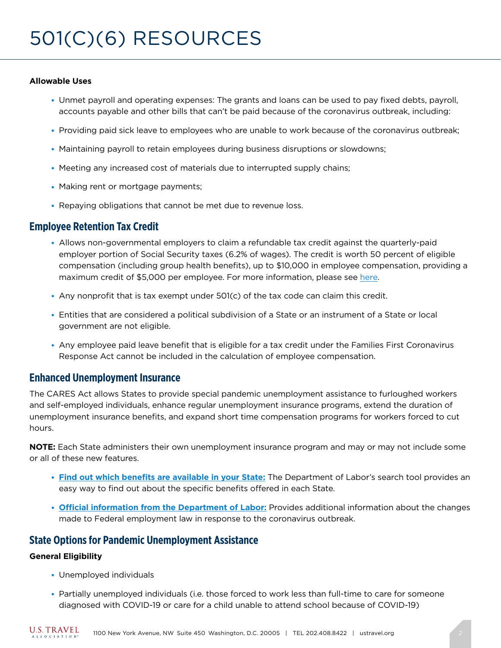### **Allowable Uses**

- Unmet payroll and operating expenses: The grants and loans can be used to pay fixed debts, payroll, accounts payable and other bills that can't be paid because of the coronavirus outbreak, including:
- Providing paid sick leave to employees who are unable to work because of the coronavirus outbreak;
- Maintaining payroll to retain employees during business disruptions or slowdowns;
- Meeting any increased cost of materials due to interrupted supply chains;
- Making rent or mortgage payments;
- Repaying obligations that cannot be met due to revenue loss.

## **Employee Retention Tax Credit**

- Allows non-governmental employers to claim a refundable tax credit against the quarterly-paid employer portion of Social Security taxes (6.2% of wages). The credit is worth 50 percent of eligible compensation (including group health benefits), up to \$10,000 in employee compensation, providing a maximum credit of \$5,000 per employee. For more information, please see [here.](https://www.irs.gov/newsroom/irs-employee-retention-credit-available-for-many-businesses-financially-impacted-by-covid-19)
- Any nonprofit that is tax exempt under 501(c) of the tax code can claim this credit.
- Entities that are considered a political subdivision of a State or an instrument of a State or local government are not eligible.
- Any employee paid leave benefit that is eligible for a tax credit under the Families First Coronavirus Response Act cannot be included in the calculation of employee compensation.

## **Enhanced Unemployment Insurance**

The CARES Act allows States to provide special pandemic unemployment assistance to furloughed workers and self-employed individuals, enhance regular unemployment insurance programs, extend the duration of unemployment insurance benefits, and expand short time compensation programs for workers forced to cut hours.

**NOTE:** Each State administers their own unemployment insurance program and may or may not include some or all of these new features.

- **[Find out which benefits are available in your State:](https://www.careeronestop.org/LocalHelp/UnemploymentBenefits/find-unemployment-benefits.aspx)** The Department of Labor's search tool provides an easy way to find out about the specific benefits offered in each State.
- **[Official information from the Department of Labor:](https://www.dol.gov/coronavirus)** Provides additional information about the changes made to Federal employment law in response to the coronavirus outbreak.

## **State Options for Pandemic Unemployment Assistance**

### **General Eligibility**

- Unemployed individuals
- Partially unemployed individuals (i.e. those forced to work less than full-time to care for someone diagnosed with COVID-19 or care for a child unable to attend school because of COVID-19)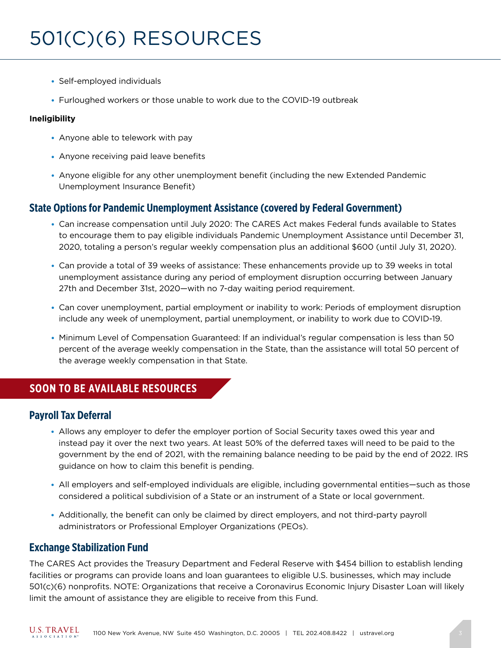- Self-employed individuals
- Furloughed workers or those unable to work due to the COVID-19 outbreak

### **Ineligibility**

- $\bullet$  Anyone able to telework with pay
- Anyone receiving paid leave benefits
- Anyone eligible for any other unemployment benefit (including the new Extended Pandemic Unemployment Insurance Benefit)

## **State Options for Pandemic Unemployment Assistance (covered by Federal Government)**

- Can increase compensation until July 2020: The CARES Act makes Federal funds available to States to encourage them to pay eligible individuals Pandemic Unemployment Assistance until December 31, 2020, totaling a person's regular weekly compensation plus an additional \$600 (until July 31, 2020).
- Can provide a total of 39 weeks of assistance: These enhancements provide up to 39 weeks in total unemployment assistance during any period of employment disruption occurring between January 27th and December 31st, 2020—with no 7-day waiting period requirement.
- Can cover unemployment, partial employment or inability to work: Periods of employment disruption include any week of unemployment, partial unemployment, or inability to work due to COVID-19.
- Minimum Level of Compensation Guaranteed: If an individual's regular compensation is less than 50 percent of the average weekly compensation in the State, than the assistance will total 50 percent of the average weekly compensation in that State.

# **SOON TO BE AVAILABLE RESOURCES**

## **Payroll Tax Deferral**

- Allows any employer to defer the employer portion of Social Security taxes owed this year and instead pay it over the next two years. At least 50% of the deferred taxes will need to be paid to the government by the end of 2021, with the remaining balance needing to be paid by the end of 2022. IRS guidance on how to claim this benefit is pending.
- All employers and self-employed individuals are eligible, including governmental entities—such as those considered a political subdivision of a State or an instrument of a State or local government.
- Additionally, the benefit can only be claimed by direct employers, and not third-party payroll administrators or Professional Employer Organizations (PEOs).

## **Exchange Stabilization Fund**

The CARES Act provides the Treasury Department and Federal Reserve with \$454 billion to establish lending facilities or programs can provide loans and loan guarantees to eligible U.S. businesses, which may include 501(c)(6) nonprofits. NOTE: Organizations that receive a Coronavirus Economic Injury Disaster Loan will likely limit the amount of assistance they are eligible to receive from this Fund.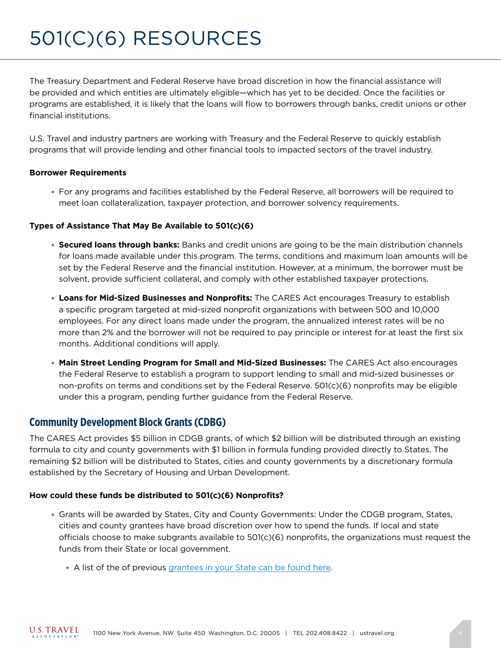# 501(C)(6) RESOURCES

The Treasury Department and Federal Reserve have broad discretion in how the financial assistance will be provided and which entities are ultimately eligible—which has yet to be decided. Once the facilities or programs are established, it is likely that the loans will flow to borrowers through banks, credit unions or other financial institutions.

U.S. Travel and industry partners are working with Treasury and the Federal Reserve to quickly establish programs that will provide lending and other financial tools to impacted sectors of the travel industry.

#### **Borrower Requirements**

● For any programs and facilities established by the Federal Reserve, all borrowers will be required to meet loan collateralization, taxpayer protection, and borrower solvency requirements.

#### **Types of Assistance That May Be Available to 501(c)(6)**

- **Secured loans through banks:** Banks and credit unions are going to be the main distribution channels for loans made available under this program. The terms, conditions and maximum loan amounts will be set by the Federal Reserve and the financial institution. However, at a minimum, the borrower must be solvent, provide sufficient collateral, and comply with other established taxpayer protections.
- **Loans for Mid-Sized Businesses and Nonprofits:** The CARES Act encourages Treasury to establish a specific program targeted at mid-sized nonprofit organizations with between 500 and 10,000 employees. For any direct loans made under the program, the annualized interest rates will be no more than 2% and the borrower will not be required to pay principle or interest for at least the first six months. Additional conditions will apply.
- **Main Street Lending Program for Small and Mid-Sized Businesses:** The CARES Act also encourages the Federal Reserve to establish a program to support lending to small and mid-sized businesses or non-profits on terms and conditions set by the Federal Reserve. 501(c)(6) nonprofits may be eligible under this a program, pending further guidance from the Federal Reserve.

## **Community Development Block Grants (CDBG)**

The CARES Act provides \$5 billion in CDGB grants, of which \$2 billion will be distributed through an existing formula to city and county governments with \$1 billion in formula funding provided directly to States. The remaining \$2 billion will be distributed to States, cities and county governments by a discretionary formula established by the Secretary of Housing and Urban Development.

#### **How could these funds be distributed to 501(c)(6) Nonprofits?**

- Grants will be awarded by States, City and County Governments: Under the CDGB program, States, cities and county grantees have broad discretion over how to spend the funds. If local and state officials choose to make subgrants available to 501(c)(6) nonprofits, the organizations must request the funds from their State or local government.
	- A list of the of previous [grantees in your State can be found here](https://www.hudexchange.info/grantees/).